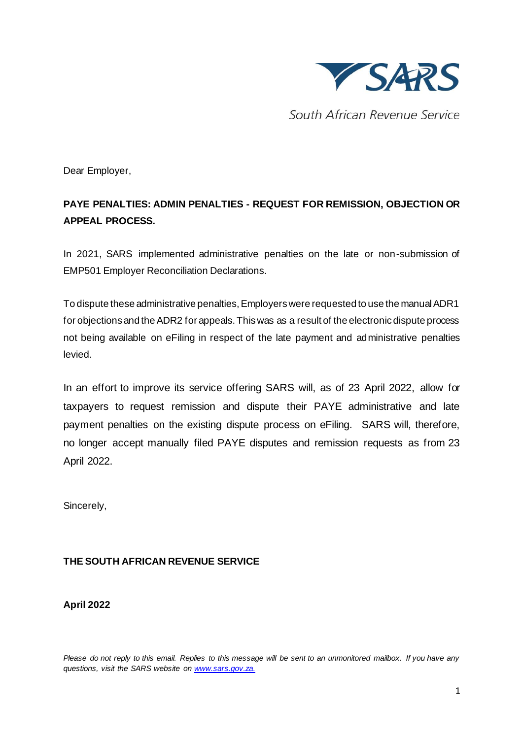

South African Revenue Service

Dear Employer,

## **PAYE PENALTIES: ADMIN PENALTIES - REQUEST FOR REMISSION, OBJECTION OR APPEAL PROCESS.**

In 2021, SARS implemented administrative penalties on the late or non-submission of EMP501 Employer Reconciliation Declarations.

To dispute these administrative penalties, Employers were requested to use the manual ADR1 for objections and the ADR2 for appeals. This was as a result of the electronic dispute process not being available on eFiling in respect of the late payment and administrative penalties levied.

In an effort to improve its service offering SARS will, as of 23 April 2022, allow for taxpayers to request remission and dispute their PAYE administrative and late payment penalties on the existing dispute process on eFiling. SARS will, therefore, no longer accept manually filed PAYE disputes and remission requests as from 23 April 2022.

Sincerely,

## **THE SOUTH AFRICAN REVENUE SERVICE**

**April 2022**

*Please do not reply to this email. Replies to this message will be sent to an unmonitored mailbox. If you have any questions, visit the SARS website on [www.sars.gov.za.](http://www.sars.gov.za/)*